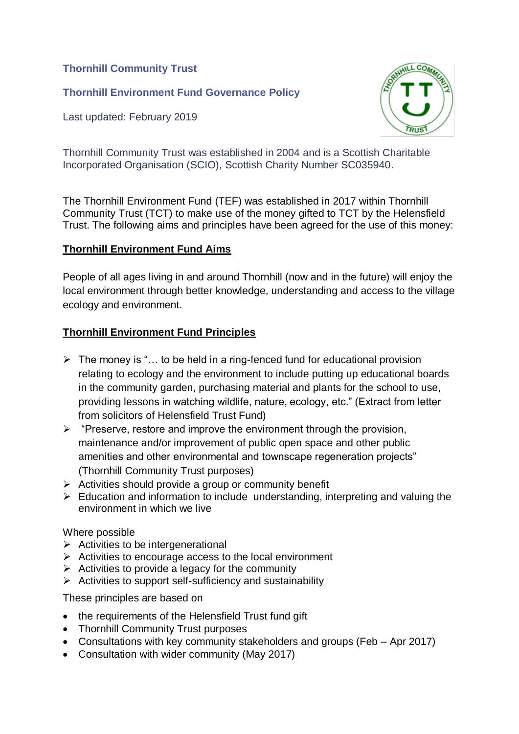**Thornhill Community Trust**

**Thornhill Environment Fund Governance Policy**

Last updated: February 2019



Thornhill Community Trust was established in 2004 and is a Scottish Charitable Incorporated Organisation (SCIO), Scottish Charity Number SC035940.

The Thornhill Environment Fund (TEF) was established in 2017 within Thornhill Community Trust (TCT) to make use of the money gifted to TCT by the Helensfield Trust. The following aims and principles have been agreed for the use of this money:

# **Thornhill Environment Fund Aims**

People of all ages living in and around Thornhill (now and in the future) will enjoy the local environment through better knowledge, understanding and access to the village ecology and environment.

# **Thornhill Environment Fund Principles**

- $\triangleright$  The money is "... to be held in a ring-fenced fund for educational provision relating to ecology and the environment to include putting up educational boards in the community garden, purchasing material and plants for the school to use, providing lessons in watching wildlife, nature, ecology, etc." (Extract from letter from solicitors of Helensfield Trust Fund)
- $\triangleright$  "Preserve, restore and improve the environment through the provision, maintenance and/or improvement of public open space and other public amenities and other environmental and townscape regeneration projects" (Thornhill Community Trust purposes)
- $\triangleright$  Activities should provide a group or community benefit
- $\triangleright$  Education and information to include understanding, interpreting and valuing the environment in which we live

### Where possible

- $\triangleright$  Activities to be intergenerational
- $\triangleright$  Activities to encourage access to the local environment
- $\triangleright$  Activities to provide a legacy for the community
- $\triangleright$  Activities to support self-sufficiency and sustainability

These principles are based on

- the requirements of the Helensfield Trust fund gift
- Thornhill Community Trust purposes
- Consultations with key community stakeholders and groups (Feb Apr 2017)
- Consultation with wider community (May 2017)